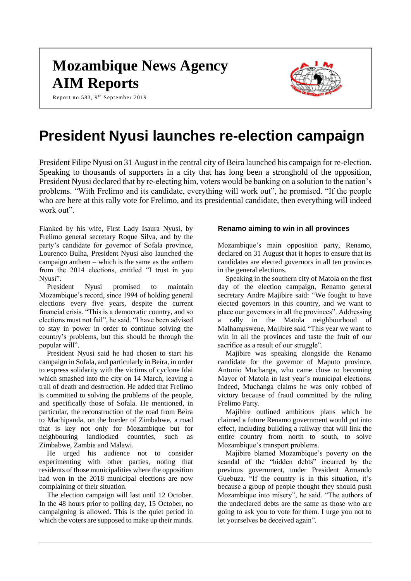# **Mozambique News Agency AIM Reports**

Report no.583, 9<sup>th</sup> September 2019



# **President Nyusi launches re-election campaign**

President Filipe Nyusi on 31 August in the central city of Beira launched his campaign for re-election. Speaking to thousands of supporters in a city that has long been a stronghold of the opposition, President Nyusi declared that by re-electing him, voters would be banking on a solution to the nation's problems. "With Frelimo and its candidate, everything will work out", he promised. "If the people who are here at this rally vote for Frelimo, and its presidential candidate, then everything will indeed work out"

Flanked by his wife, First Lady Isaura Nyusi, by Frelimo general secretary Roque Silva, and by the party's candidate for governor of Sofala province, Lourenco Bulha, President Nyusi also launched the campaign anthem – which is the same as the anthem from the 2014 elections, entitled "I trust in you Nyusi".

President Nyusi promised to maintain Mozambique's record, since 1994 of holding general elections every five years, despite the current financial crisis. "This is a democratic country, and so elections must not fail", he said. "I have been advised to stay in power in order to continue solving the country's problems, but this should be through the popular will".

President Nyusi said he had chosen to start his campaign in Sofala, and particularly in Beira, in order to express solidarity with the victims of cyclone Idai which smashed into the city on 14 March, leaving a trail of death and destruction. He added that Frelimo is committed to solving the problems of the people, and specifically those of Sofala. He mentioned, in particular, the reconstruction of the road from Beira to Machipanda, on the border of Zimbabwe, a road that is key not only for Mozambique but for neighbouring landlocked countries, such as Zimbabwe, Zambia and Malawi.

He urged his audience not to consider experimenting with other parties, noting that residents of those municipalities where the opposition had won in the 2018 municipal elections are now complaining of their situation.

The election campaign will last until 12 October. In the 48 hours prior to polling day, 15 October, no campaigning is allowed. This is the quiet period in which the voters are supposed to make up their minds.

### **Renamo aiming to win in all provinces**

Mozambique's main opposition party, Renamo, declared on 31 August that it hopes to ensure that its candidates are elected governors in all ten provinces in the general elections.

Speaking in the southern city of Matola on the first day of the election campaign, Renamo general secretary Andre Majibire said: "We fought to have elected governors in this country, and we want to place our governors in all the provinces". Addressing a rally in the Matola neighbourhood of Malhampswene, Majibire said "This year we want to win in all the provinces and taste the fruit of our sacrifice as a result of our struggle".

Majibire was speaking alongside the Renamo candidate for the governor of Maputo province, Antonio Muchanga, who came close to becoming Mayor of Matola in last year's municipal elections. Indeed, Muchanga claims he was only robbed of victory because of fraud committed by the ruling Frelimo Party.

Majibire outlined ambitious plans which he claimed a future Renamo government would put into effect, including building a railway that will link the entire country from north to south, to solve Mozambique's transport problems.

Majibire blamed Mozambique's poverty on the scandal of the "hidden debts" incurred by the previous government, under President Armando Guebuza. "If the country is in this situation, it's because a group of people thought they should push Mozambique into misery", he said. "The authors of the undeclared debts are the same as those who are going to ask you to vote for them. I urge you not to let yourselves be deceived again".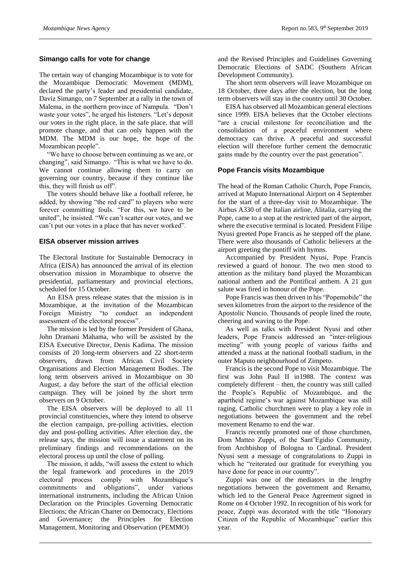## **Simango calls for vote for change**

The certain way of changing Mozambique is to vote for the Mozambique Democratic Movement (MDM), declared the party's leader and presidential candidate, Daviz Simango, on 7 September at a rally in the town of Malema, in the northern province of Nampula. "Don't waste your votes", he urged his listeners. "Let's deposit our votes in the right place, in the safe place, that will promote change, and that can only happen with the MDM. The MDM is our hope, the hope of the Mozambican people".

"We have to choose between continuing as we are, or changing", said Simango. "This is what we have to do. We cannot continue allowing them to carry on governing our country, because if they continue like this, they will finish us off".

The voters should behave like a football referee, he added, by showing "the red card" to players who were forever committing fouls. "For this, we have to be united", he insisted. "We can't scatter our votes, and we can't put our votes in a place that has never worked".

### **EISA observer mission arrives**

The Electoral Institute for Sustainable Democracy in Africa (EISA) has announced the arrival of its election observation mission in Mozambique to observe the presidential, parliamentary and provincial elections, scheduled for 15 October.

An EISA press release states that the mission is in Mozambique, at the invitation of the Mozambican Foreign Ministry "to conduct an independent assessment of the electoral process".

The mission is led by the former President of Ghana, John Dramani Mahama, who will be assisted by the EISA Executive Director, Denis Kadima. The mission consists of 20 long-term observers and 22 short-term observers, drawn from African Civil Society Organisations and Election Management Bodies. The long term observers arrived in Mozambique on 30 August, a day before the start of the official election campaign. They will be joined by the short term observers on 9 October.

The EISA observers will be deployed to all 11 provincial constituencies, where they intend to observe the election campaign, pre-polling activities, election day and post-polling activities. After election day, the release says, the mission will issue a statement on its preliminary findings and recommendations on the electoral process up until the close of polling.

The mission, it adds, "will assess the extent to which the legal framework and procedures in the 2019 electoral process comply with Mozambique's commitments and obligations", under various international instruments, including the African Union Declaration on the Principles Governing Democratic Elections; the African Charter on Democracy, Elections and Governance; the Principles for Election Management, Monitoring and Observation (PEMMO)

and the Revised Principles and Guidelines Governing Democratic Elections of SADC (Southern African Development Community).

The short term observers will leave Mozambique on 18 October, three days after the election, but the long term observers will stay in the country until 30 October.

EISA has observed all Mozambican general elections since 1999. EISA believes that the October elections "are a crucial milestone for reconciliation and the consolidation of a peaceful environment where democracy can thrive. A peaceful and successful election will therefore further cement the democratic gains made by the country over the past generation".

### **Pope Francis visits Mozambique**

The head of the Roman Catholic Church, Pope Francis, arrived at Maputo International Airport on 4 September for the start of a three-day visit to Mozambique. The Airbus A330 of the Italian airline, Alitalia, carrying the Pope, came to a stop at the restricted part of the airport, where the executive terminal is located. President Filipe Nyusi greeted Pope Francis as he stepped off the plane. There were also thousands of Catholic believers at the airport greeting the pontiff with hymns.

Accompanied by President Nyusi, Pope Francis reviewed a guard of honour. The two men stood to attention as the military band played the Mozambican national anthem and the Pontifical anthem. A 21 gun salute was fired in honour of the Pope.

Pope Francis was then driven in his "Popemobile" the seven kilometres from the airport to the residence of the Apostolic Nuncio. Thousands of people lined the route, cheering and waving to the Pope.

As well as talks with President Nyusi and other leaders, Pope Francis addressed an "inter-religious meeting" with young people of various faiths and attended a mass at the national football stadium, in the outer Maputo neighbourhood of Zimpeto.

Francis is the second Pope to visit Mozambique. The first was John Paul II in1988. The context was completely different – then, the country was still called the People's Republic of Mozambique, and the apartheid regime's war against Mozambique was still raging. Catholic churchmen were to play a key role in negotiations between the government and the rebel movement Renamo to end the war.

Francis recently promoted one of those churchmen, Dom Matteo Zuppi, of the Sant'Egidio Community, from Archbishop of Bologna to Cardinal. President Nyusi sent a message of congratulations to Zuppi in which he "reiterated our gratitude for everything you have done for peace in our country".

Zuppi was one of the mediators in the lengthy negotiations between the government and Renamo, which led to the General Peace Agreement signed in Rome on 4 October 1992. In recognition of his work for peace, Zuppi was decorated with the title "Honorary Citizen of the Republic of Mozambique" earlier this year.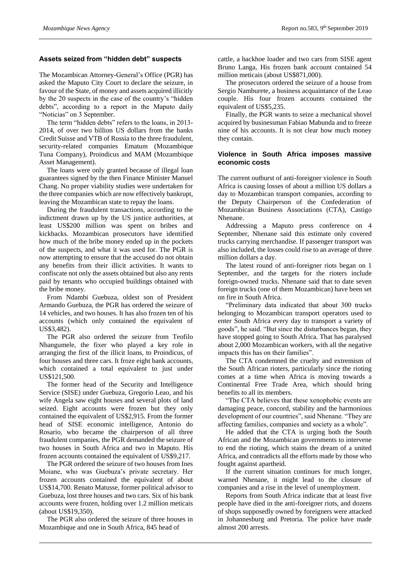### **Assets seized from "hidden debt" suspects**

The Mozambican Attorney-General's Office (PGR) has asked the Maputo City Court to declare the seizure, in favour of the State, of money and assets acquired illicitly by the 20 suspects in the case of the country's "hidden debts", according to a report in the Maputo daily "Noticias" on 3 September.

The term "hidden debts" refers to the loans, in 2013- 2014, of over two billion US dollars from the banks Credit Suisse and VTB of Russia to the three fraudulent, security-related companies Ematum (Mozambique Tuna Company), Proindicus and MAM (Mozambique Asset Management).

The loans were only granted because of illegal loan guarantees signed by the then Finance Minister Manuel Chang. No proper viability studies were undertaken for the three companies which are now effectively bankrupt, leaving the Mozambican state to repay the loans.

During the fraudulent transactions, according to the indictment drawn up by the US justice authorities, at least US\$200 million was spent on bribes and kickbacks. Mozambican prosecutors have identified how much of the bribe money ended up in the pockets of the suspects, and what it was used for. The PGR is now attempting to ensure that the accused do not obtain any benefits from their illicit activities. It wants to confiscate not only the assets obtained but also any rents paid by tenants who occupied buildings obtained with the bribe money.

From Ndambi Guebuza, oldest son of President Armando Guebuza, the PGR has ordered the seizure of 14 vehicles, and two houses. It has also frozen ten of his accounts (which only contained the equivalent of US\$3,482).

The PGR also ordered the seizure from Teofilo Nhangumele, the fixer who played a key role in arranging the first of the illicit loans, to Proindicus, of four houses and three cars. It froze eight bank accounts, which contained a total equivalent to just under US\$121,500.

The former head of the Security and Intelligence Service (SISE) under Guebuza, Gregorio Leao, and his wife Angela saw eight houses and several plots of land seized. Eight accounts were frozen but they only contained the equivalent of US\$2,915. From the former head of SISE economic intelligence, Antonio do Rosario, who became the chairperson of all three fraudulent companies, the PGR demanded the seizure of two houses in South Africa and two in Maputo. His frozen accounts contained the equivalent of US\$9,217.

The PGR ordered the seizure of two houses from Ines Moiane, who was Guebuza's private secretary. Her frozen accounts contained the equivalent of about US\$14,700. Renato Matusse, former political advisor to Guebuza, lost three houses and two cars. Six of his bank accounts were frozen, holding over 1.2 million meticais (about US\$19,350).

The PGR also ordered the seizure of three houses in Mozambique and one in South Africa, 845 head of

cattle, a backhoe loader and two cars from SISE agent Bruno Langa, His frozen bank account contained 54 million meticais (about US\$871,000).

The prosecutors ordered the seizure of a house from Sergio Namburete, a business acquaintance of the Leao couple. His four frozen accounts contained the equivalent of US\$5,235.

Finally, the PGR wants to seize a mechanical shovel acquired by businessman Fabiao Mabunda and to freeze nine of his accounts. It is not clear how much money they contain.

### **Violence in South Africa imposes massive economic costs**

The current outburst of anti-foreigner violence in South Africa is causing losses of about a million US dollars a day to Mozambican transport companies, according to the Deputy Chairperson of the Confederation of Mozambican Business Associations (CTA), Castigo Nhenane.

Addressing a Maputo press conference on 4 September, Nhenane said this estimate only covered trucks carrying merchandise. If passenger transport was also included, the losses could rise to an average of three million dollars a day.

The latest round of anti-foreigner riots began on 1 September, and the targets for the rioters include foreign-owned trucks. Nhenane said that to date seven foreign trucks (one of them Mozambican) have been set on fire in South Africa.

"Preliminary data indicated that about 300 trucks belonging to Mozambican transport operators used to enter South Africa every day to transport a variety of goods", he said. "But since the disturbances began, they have stopped going to South Africa. That has paralysed about 2,000 Mozambican workers, with all the negative impacts this has on their families".

The CTA condemned the cruelty and extremism of the South African rioters, particularly since the rioting comes at a time when Africa is moving towards a Continental Free Trade Area, which should bring benefits to all its members.

"The CTA believes that these xenophobic events are damaging peace, concord, stability and the harmonious development of our countries", said Nhenane. "They are affecting families, companies and society as a whole".

He added that the CTA is urging both the South African and the Mozambican governments to intervene to end the rioting, which stains the dream of a united Africa, and contradicts all the efforts made by those who fought against apartheid.

If the current situation continues for much longer, warned Nhenane, it might lead to the closure of companies and a rise in the level of unemployment.

Reports from South Africa indicate that at least five people have died in the anti-foreigner riots, and dozens of shops supposedly owned by foreigners were attacked in Johannesburg and Pretoria. The police have made almost 200 arrests.